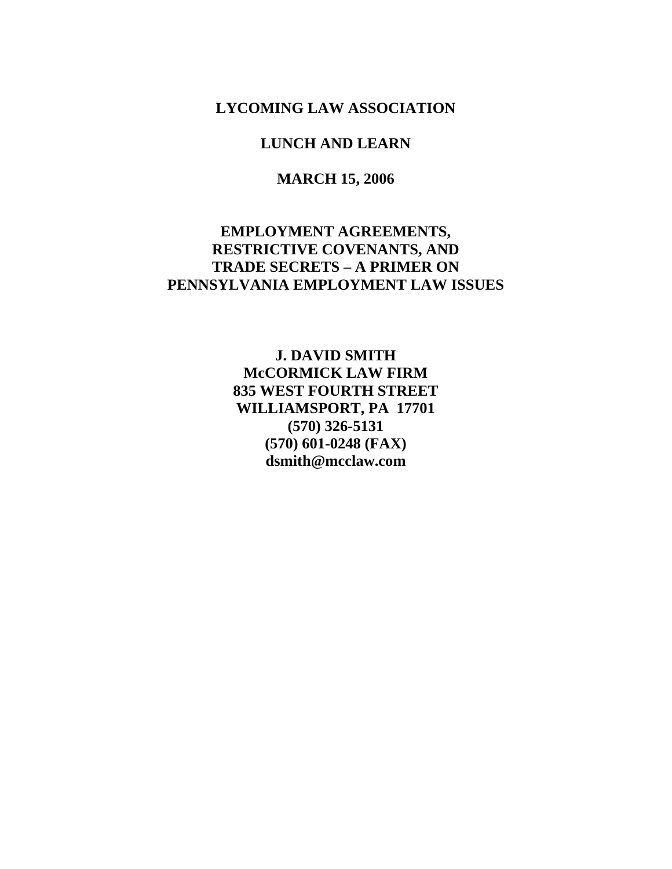**LYCOMING LAW ASSOCIATION** 

## **LUNCH AND LEARN**

**MARCH 15, 2006** 

# **EMPLOYMENT AGREEMENTS, RESTRICTIVE COVENANTS, AND TRADE SECRETS – A PRIMER ON PENNSYLVANIA EMPLOYMENT LAW ISSUES**

**J. DAVID SMITH McCORMICK LAW FIRM 835 WEST FOURTH STREET WILLIAMSPORT, PA 17701 (570) 326-5131 (570) 601-0248 (FAX) dsmith@mcclaw.com**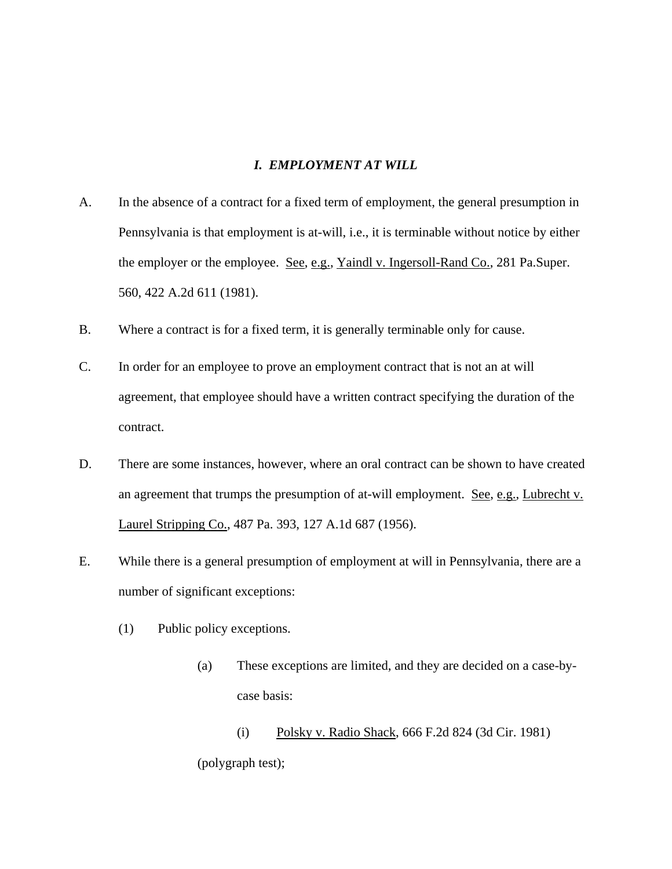### *I. EMPLOYMENT AT WILL*

- A. In the absence of a contract for a fixed term of employment, the general presumption in Pennsylvania is that employment is at-will, i.e., it is terminable without notice by either the employer or the employee. See, e.g., Yaindl v. Ingersoll-Rand Co., 281 Pa.Super. 560, 422 A.2d 611 (1981).
- B. Where a contract is for a fixed term, it is generally terminable only for cause.
- C. In order for an employee to prove an employment contract that is not an at will agreement, that employee should have a written contract specifying the duration of the contract.
- D. There are some instances, however, where an oral contract can be shown to have created an agreement that trumps the presumption of at-will employment. See, e.g., Lubrecht v. Laurel Stripping Co., 487 Pa. 393, 127 A.1d 687 (1956).
- E. While there is a general presumption of employment at will in Pennsylvania, there are a number of significant exceptions:
	- (1) Public policy exceptions.
		- (a) These exceptions are limited, and they are decided on a case-bycase basis:

 (i) Polsky v. Radio Shack, 666 F.2d 824 (3d Cir. 1981) (polygraph test);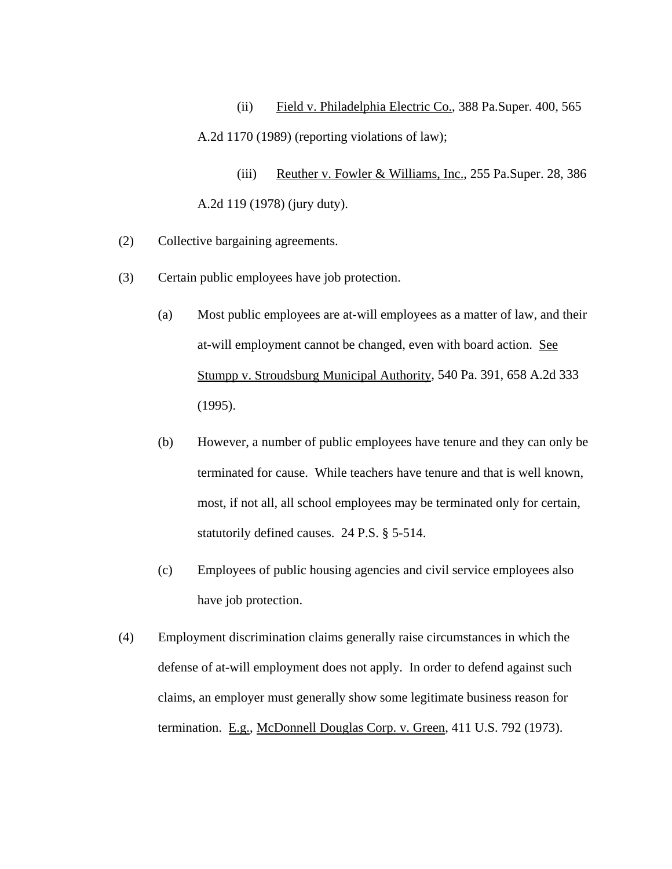(ii) Field v. Philadelphia Electric Co., 388 Pa.Super. 400, 565 A.2d 1170 (1989) (reporting violations of law);

(iii) Reuther v. Fowler & Williams, Inc., 255 Pa.Super. 28, 386 A.2d 119 (1978) (jury duty).

- (2) Collective bargaining agreements.
- (3) Certain public employees have job protection.
	- (a) Most public employees are at-will employees as a matter of law, and their at-will employment cannot be changed, even with board action. See Stumpp v. Stroudsburg Municipal Authority, 540 Pa. 391, 658 A.2d 333 (1995).
	- (b) However, a number of public employees have tenure and they can only be terminated for cause. While teachers have tenure and that is well known, most, if not all, all school employees may be terminated only for certain, statutorily defined causes. 24 P.S. § 5-514.
	- (c) Employees of public housing agencies and civil service employees also have job protection.
- (4) Employment discrimination claims generally raise circumstances in which the defense of at-will employment does not apply. In order to defend against such claims, an employer must generally show some legitimate business reason for termination. E.g., McDonnell Douglas Corp. v. Green, 411 U.S. 792 (1973).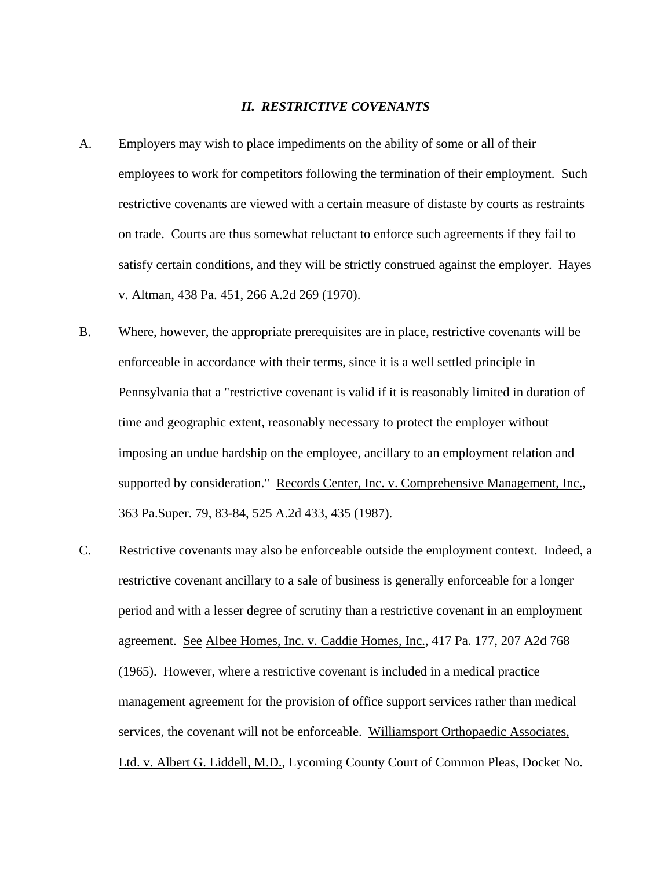#### *II. RESTRICTIVE COVENANTS*

- A. Employers may wish to place impediments on the ability of some or all of their employees to work for competitors following the termination of their employment. Such restrictive covenants are viewed with a certain measure of distaste by courts as restraints on trade. Courts are thus somewhat reluctant to enforce such agreements if they fail to satisfy certain conditions, and they will be strictly construed against the employer. Hayes v. Altman, 438 Pa. 451, 266 A.2d 269 (1970).
- B. Where, however, the appropriate prerequisites are in place, restrictive covenants will be enforceable in accordance with their terms, since it is a well settled principle in Pennsylvania that a "restrictive covenant is valid if it is reasonably limited in duration of time and geographic extent, reasonably necessary to protect the employer without imposing an undue hardship on the employee, ancillary to an employment relation and supported by consideration." Records Center, Inc. v. Comprehensive Management, Inc., 363 Pa.Super. 79, 83-84, 525 A.2d 433, 435 (1987).
- C. Restrictive covenants may also be enforceable outside the employment context. Indeed, a restrictive covenant ancillary to a sale of business is generally enforceable for a longer period and with a lesser degree of scrutiny than a restrictive covenant in an employment agreement. See Albee Homes, Inc. v. Caddie Homes, Inc., 417 Pa. 177, 207 A2d 768 (1965). However, where a restrictive covenant is included in a medical practice management agreement for the provision of office support services rather than medical services, the covenant will not be enforceable. Williamsport Orthopaedic Associates, Ltd. v. Albert G. Liddell, M.D., Lycoming County Court of Common Pleas, Docket No.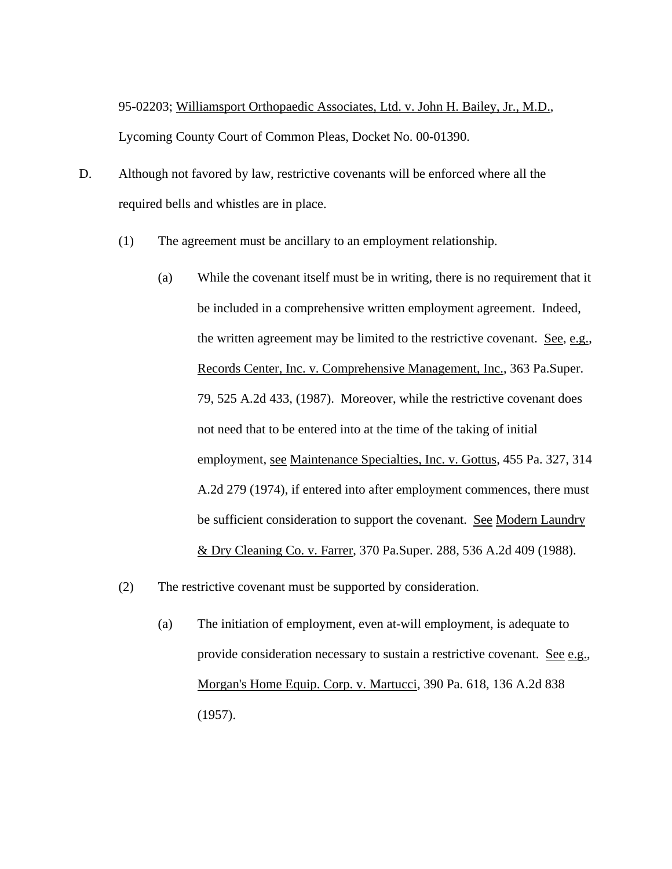95-02203; Williamsport Orthopaedic Associates, Ltd. v. John H. Bailey, Jr., M.D., Lycoming County Court of Common Pleas, Docket No. 00-01390.

- D. Although not favored by law, restrictive covenants will be enforced where all the required bells and whistles are in place.
	- (1) The agreement must be ancillary to an employment relationship.
		- (a) While the covenant itself must be in writing, there is no requirement that it be included in a comprehensive written employment agreement. Indeed, the written agreement may be limited to the restrictive covenant. See, e.g., Records Center, Inc. v. Comprehensive Management, Inc., 363 Pa.Super. 79, 525 A.2d 433, (1987). Moreover, while the restrictive covenant does not need that to be entered into at the time of the taking of initial employment, see Maintenance Specialties, Inc. v. Gottus, 455 Pa. 327, 314 A.2d 279 (1974), if entered into after employment commences, there must be sufficient consideration to support the covenant. See Modern Laundry & Dry Cleaning Co. v. Farrer, 370 Pa.Super. 288, 536 A.2d 409 (1988).
	- (2) The restrictive covenant must be supported by consideration.
		- (a) The initiation of employment, even at-will employment, is adequate to provide consideration necessary to sustain a restrictive covenant. See e.g., Morgan's Home Equip. Corp. v. Martucci, 390 Pa. 618, 136 A.2d 838 (1957).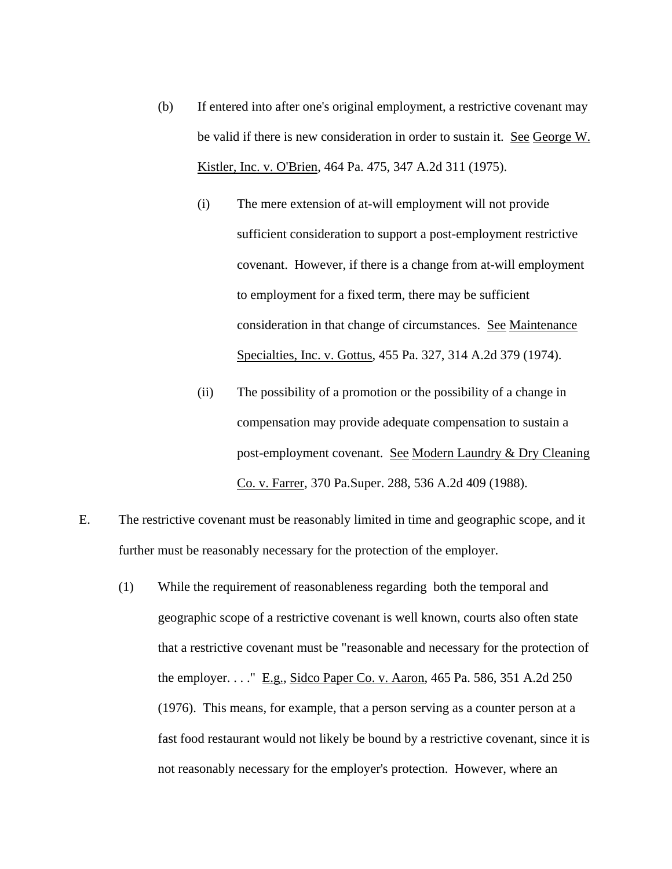- (b) If entered into after one's original employment, a restrictive covenant may be valid if there is new consideration in order to sustain it. See George W. Kistler, Inc. v. O'Brien, 464 Pa. 475, 347 A.2d 311 (1975).
	- (i) The mere extension of at-will employment will not provide sufficient consideration to support a post-employment restrictive covenant. However, if there is a change from at-will employment to employment for a fixed term, there may be sufficient consideration in that change of circumstances. See Maintenance Specialties, Inc. v. Gottus, 455 Pa. 327, 314 A.2d 379 (1974).
	- (ii) The possibility of a promotion or the possibility of a change in compensation may provide adequate compensation to sustain a post-employment covenant. See Modern Laundry & Dry Cleaning Co. v. Farrer, 370 Pa.Super. 288, 536 A.2d 409 (1988).
- E. The restrictive covenant must be reasonably limited in time and geographic scope, and it further must be reasonably necessary for the protection of the employer.
	- (1) While the requirement of reasonableness regarding both the temporal and geographic scope of a restrictive covenant is well known, courts also often state that a restrictive covenant must be "reasonable and necessary for the protection of the employer. . . ." E.g., Sidco Paper Co. v. Aaron, 465 Pa. 586, 351 A.2d 250 (1976). This means, for example, that a person serving as a counter person at a fast food restaurant would not likely be bound by a restrictive covenant, since it is not reasonably necessary for the employer's protection. However, where an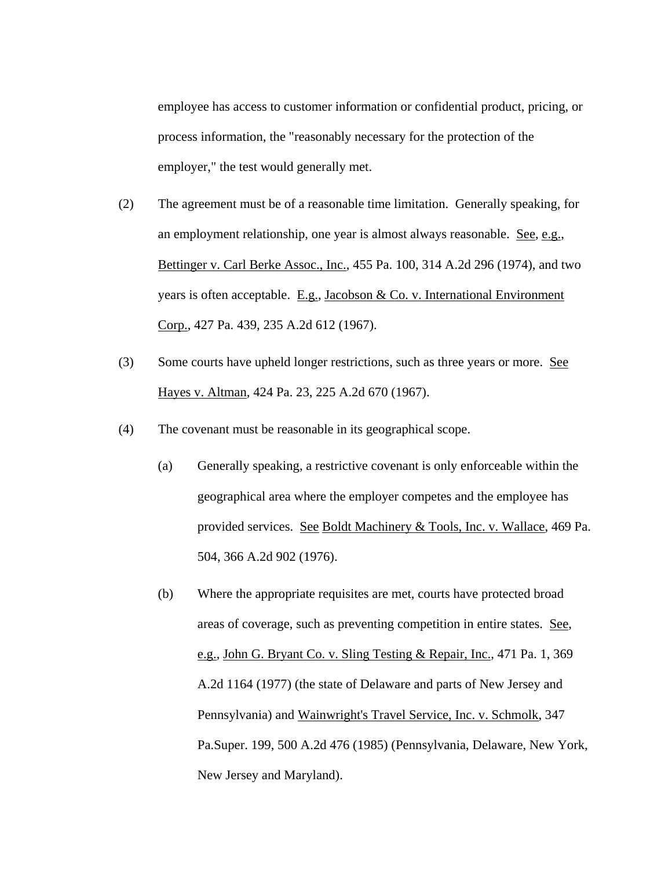employee has access to customer information or confidential product, pricing, or process information, the "reasonably necessary for the protection of the employer," the test would generally met.

- (2) The agreement must be of a reasonable time limitation. Generally speaking, for an employment relationship, one year is almost always reasonable. See, e.g., Bettinger v. Carl Berke Assoc., Inc., 455 Pa. 100, 314 A.2d 296 (1974), and two years is often acceptable. E.g., Jacobson & Co. v. International Environment Corp., 427 Pa. 439, 235 A.2d 612 (1967).
- (3) Some courts have upheld longer restrictions, such as three years or more. See Hayes v. Altman, 424 Pa. 23, 225 A.2d 670 (1967).
- (4) The covenant must be reasonable in its geographical scope.
	- (a) Generally speaking, a restrictive covenant is only enforceable within the geographical area where the employer competes and the employee has provided services. See Boldt Machinery & Tools, Inc. v. Wallace, 469 Pa. 504, 366 A.2d 902 (1976).
	- (b) Where the appropriate requisites are met, courts have protected broad areas of coverage, such as preventing competition in entire states. See, e.g., John G. Bryant Co. v. Sling Testing & Repair, Inc., 471 Pa. 1, 369 A.2d 1164 (1977) (the state of Delaware and parts of New Jersey and Pennsylvania) and Wainwright's Travel Service, Inc. v. Schmolk, 347 Pa.Super. 199, 500 A.2d 476 (1985) (Pennsylvania, Delaware, New York, New Jersey and Maryland).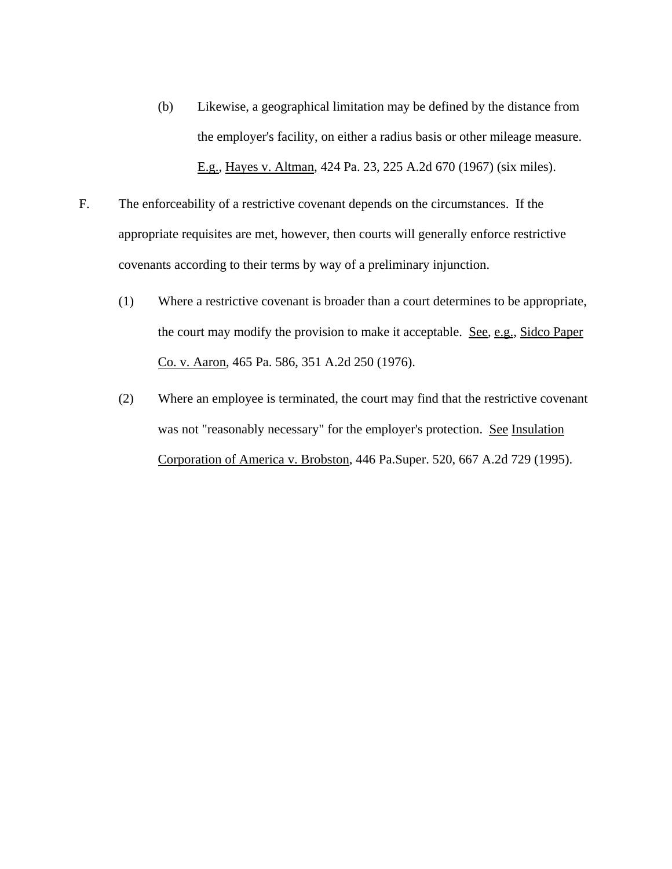- (b) Likewise, a geographical limitation may be defined by the distance from the employer's facility, on either a radius basis or other mileage measure. E.g., Hayes v. Altman, 424 Pa. 23, 225 A.2d 670 (1967) (six miles).
- F. The enforceability of a restrictive covenant depends on the circumstances. If the appropriate requisites are met, however, then courts will generally enforce restrictive covenants according to their terms by way of a preliminary injunction.
	- (1) Where a restrictive covenant is broader than a court determines to be appropriate, the court may modify the provision to make it acceptable. See, e.g., Sidco Paper Co. v. Aaron, 465 Pa. 586, 351 A.2d 250 (1976).
	- (2) Where an employee is terminated, the court may find that the restrictive covenant was not "reasonably necessary" for the employer's protection. See Insulation Corporation of America v. Brobston, 446 Pa.Super. 520, 667 A.2d 729 (1995).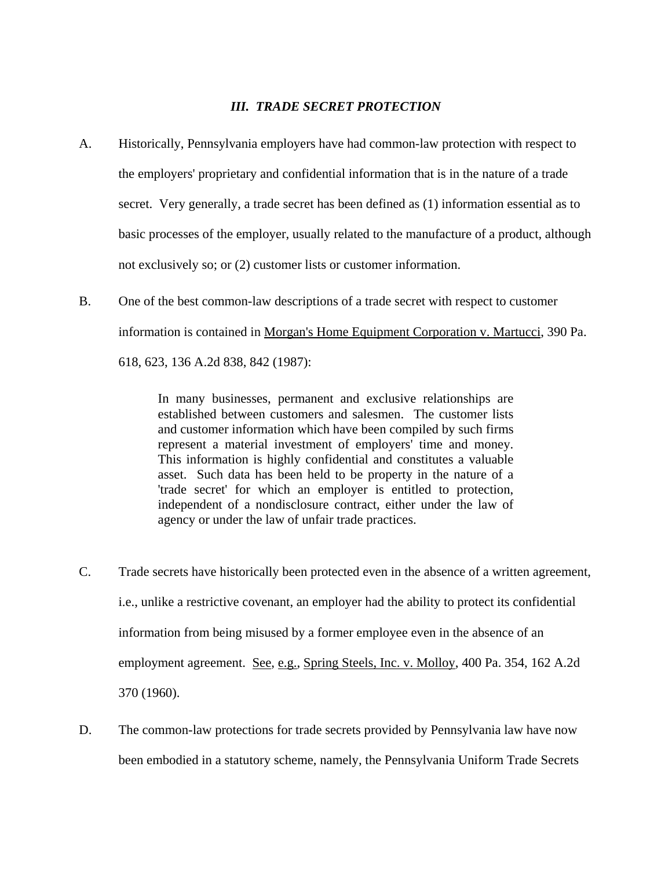### *III. TRADE SECRET PROTECTION*

- A. Historically, Pennsylvania employers have had common-law protection with respect to the employers' proprietary and confidential information that is in the nature of a trade secret. Very generally, a trade secret has been defined as (1) information essential as to basic processes of the employer, usually related to the manufacture of a product, although not exclusively so; or (2) customer lists or customer information.
- B. One of the best common-law descriptions of a trade secret with respect to customer information is contained in Morgan's Home Equipment Corporation v. Martucci, 390 Pa. 618, 623, 136 A.2d 838, 842 (1987):

In many businesses, permanent and exclusive relationships are established between customers and salesmen. The customer lists and customer information which have been compiled by such firms represent a material investment of employers' time and money. This information is highly confidential and constitutes a valuable asset. Such data has been held to be property in the nature of a 'trade secret' for which an employer is entitled to protection, independent of a nondisclosure contract, either under the law of agency or under the law of unfair trade practices.

- C. Trade secrets have historically been protected even in the absence of a written agreement, i.e., unlike a restrictive covenant, an employer had the ability to protect its confidential information from being misused by a former employee even in the absence of an employment agreement. See, e.g., Spring Steels, Inc. v. Molloy, 400 Pa. 354, 162 A.2d 370 (1960).
- D. The common-law protections for trade secrets provided by Pennsylvania law have now been embodied in a statutory scheme, namely, the Pennsylvania Uniform Trade Secrets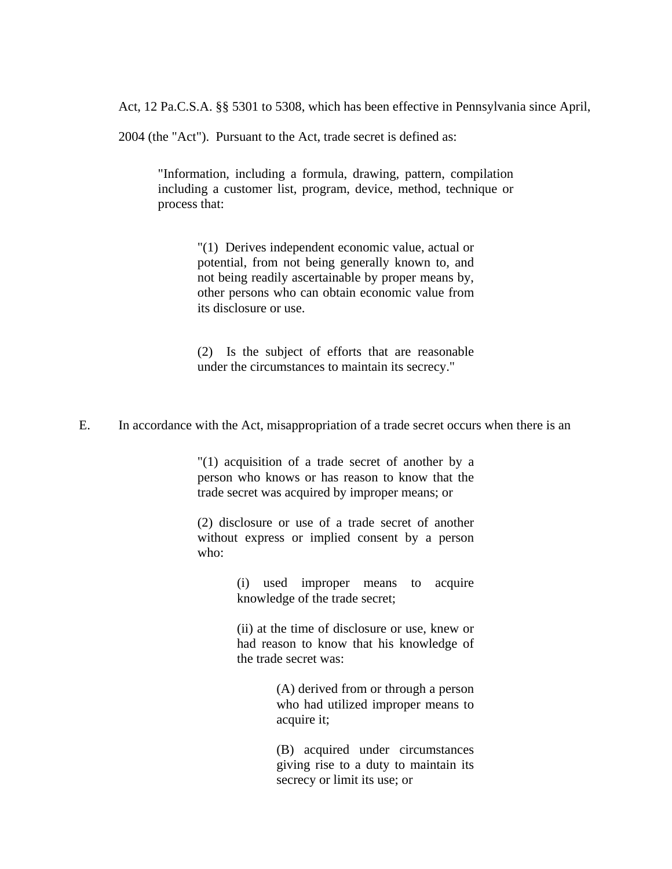Act, 12 Pa.C.S.A. §§ 5301 to 5308, which has been effective in Pennsylvania since April,

2004 (the "Act"). Pursuant to the Act, trade secret is defined as:

"Information, including a formula, drawing, pattern, compilation including a customer list, program, device, method, technique or process that:

> "(1) Derives independent economic value, actual or potential, from not being generally known to, and not being readily ascertainable by proper means by, other persons who can obtain economic value from its disclosure or use.

> (2) Is the subject of efforts that are reasonable under the circumstances to maintain its secrecy."

E. In accordance with the Act, misappropriation of a trade secret occurs when there is an

"(1) acquisition of a trade secret of another by a person who knows or has reason to know that the trade secret was acquired by improper means; or

(2) disclosure or use of a trade secret of another without express or implied consent by a person who:

> (i) used improper means to acquire knowledge of the trade secret;

> (ii) at the time of disclosure or use, knew or had reason to know that his knowledge of the trade secret was:

> > (A) derived from or through a person who had utilized improper means to acquire it;

> > (B) acquired under circumstances giving rise to a duty to maintain its secrecy or limit its use; or